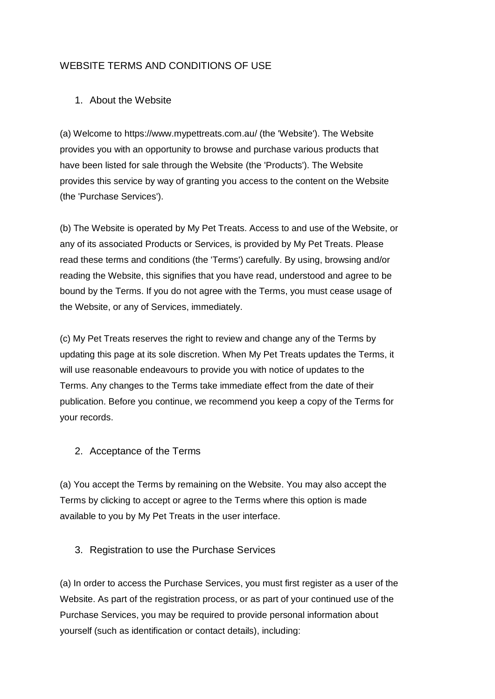# WEBSITE TERMS AND CONDITIONS OF USE

# 1. About the Website

(a) Welcome to https://www.mypettreats.com.au/ (the 'Website'). The Website provides you with an opportunity to browse and purchase various products that have been listed for sale through the Website (the 'Products'). The Website provides this service by way of granting you access to the content on the Website (the 'Purchase Services').

(b) The Website is operated by My Pet Treats. Access to and use of the Website, or any of its associated Products or Services, is provided by My Pet Treats. Please read these terms and conditions (the 'Terms') carefully. By using, browsing and/or reading the Website, this signifies that you have read, understood and agree to be bound by the Terms. If you do not agree with the Terms, you must cease usage of the Website, or any of Services, immediately.

(c) My Pet Treats reserves the right to review and change any of the Terms by updating this page at its sole discretion. When My Pet Treats updates the Terms, it will use reasonable endeavours to provide you with notice of updates to the Terms. Any changes to the Terms take immediate effect from the date of their publication. Before you continue, we recommend you keep a copy of the Terms for your records.

2. Acceptance of the Terms

(a) You accept the Terms by remaining on the Website. You may also accept the Terms by clicking to accept or agree to the Terms where this option is made available to you by My Pet Treats in the user interface.

3. Registration to use the Purchase Services

(a) In order to access the Purchase Services, you must first register as a user of the Website. As part of the registration process, or as part of your continued use of the Purchase Services, you may be required to provide personal information about yourself (such as identification or contact details), including: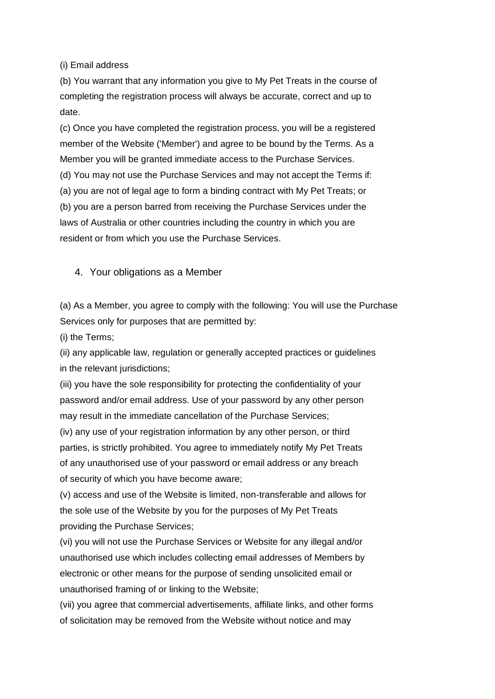(i) Email address

(b) You warrant that any information you give to My Pet Treats in the course of completing the registration process will always be accurate, correct and up to date.

(c) Once you have completed the registration process, you will be a registered member of the Website ('Member') and agree to be bound by the Terms. As a Member you will be granted immediate access to the Purchase Services.

(d) You may not use the Purchase Services and may not accept the Terms if:

(a) you are not of legal age to form a binding contract with My Pet Treats; or (b) you are a person barred from receiving the Purchase Services under the laws of Australia or other countries including the country in which you are resident or from which you use the Purchase Services.

### 4. Your obligations as a Member

(a) As a Member, you agree to comply with the following: You will use the Purchase Services only for purposes that are permitted by:

(i) the Terms;

(ii) any applicable law, regulation or generally accepted practices or guidelines in the relevant jurisdictions;

(iii) you have the sole responsibility for protecting the confidentiality of your password and/or email address. Use of your password by any other person may result in the immediate cancellation of the Purchase Services;

(iv) any use of your registration information by any other person, or third parties, is strictly prohibited. You agree to immediately notify My Pet Treats of any unauthorised use of your password or email address or any breach of security of which you have become aware;

(v) access and use of the Website is limited, non-transferable and allows for the sole use of the Website by you for the purposes of My Pet Treats providing the Purchase Services;

(vi) you will not use the Purchase Services or Website for any illegal and/or unauthorised use which includes collecting email addresses of Members by electronic or other means for the purpose of sending unsolicited email or unauthorised framing of or linking to the Website;

(vii) you agree that commercial advertisements, affiliate links, and other forms of solicitation may be removed from the Website without notice and may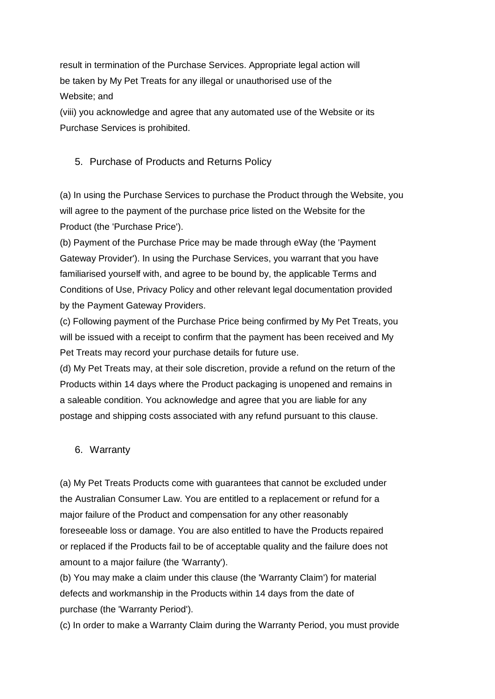result in termination of the Purchase Services. Appropriate legal action will be taken by My Pet Treats for any illegal or unauthorised use of the Website; and

(viii) you acknowledge and agree that any automated use of the Website or its Purchase Services is prohibited.

### 5. Purchase of Products and Returns Policy

(a) In using the Purchase Services to purchase the Product through the Website, you will agree to the payment of the purchase price listed on the Website for the Product (the 'Purchase Price').

(b) Payment of the Purchase Price may be made through eWay (the 'Payment Gateway Provider'). In using the Purchase Services, you warrant that you have familiarised yourself with, and agree to be bound by, the applicable Terms and Conditions of Use, Privacy Policy and other relevant legal documentation provided by the Payment Gateway Providers.

(c) Following payment of the Purchase Price being confirmed by My Pet Treats, you will be issued with a receipt to confirm that the payment has been received and My Pet Treats may record your purchase details for future use.

(d) My Pet Treats may, at their sole discretion, provide a refund on the return of the Products within 14 days where the Product packaging is unopened and remains in a saleable condition. You acknowledge and agree that you are liable for any postage and shipping costs associated with any refund pursuant to this clause.

### 6. Warranty

(a) My Pet Treats Products come with guarantees that cannot be excluded under the Australian Consumer Law. You are entitled to a replacement or refund for a major failure of the Product and compensation for any other reasonably foreseeable loss or damage. You are also entitled to have the Products repaired or replaced if the Products fail to be of acceptable quality and the failure does not amount to a major failure (the 'Warranty').

(b) You may make a claim under this clause (the 'Warranty Claim') for material defects and workmanship in the Products within 14 days from the date of purchase (the 'Warranty Period').

(c) In order to make a Warranty Claim during the Warranty Period, you must provide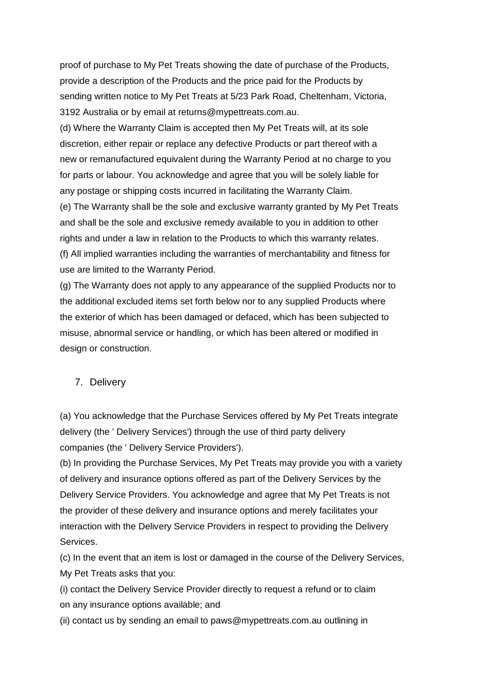proof of purchase to My Pet Treats showing the date of purchase of the Products, provide a description of the Products and the price paid for the Products by sending written notice to My Pet Treats at 5/23 Park Road, Cheltenham, Victoria, 3192 Australia or by email at returns@mypettreats.com.au.

(d) Where the Warranty Claim is accepted then My Pet Treats will, at its sole discretion, either repair or replace any defective Products or part thereof with a new or remanufactured equivalent during the Warranty Period at no charge to you for parts or labour. You acknowledge and agree that you will be solely liable for any postage or shipping costs incurred in facilitating the Warranty Claim. (e) The Warranty shall be the sole and exclusive warranty granted by My Pet Treats and shall be the sole and exclusive remedy available to you in addition to other

rights and under a law in relation to the Products to which this warranty relates. (f) All implied warranties including the warranties of merchantability and fitness for use are limited to the Warranty Period.

(g) The Warranty does not apply to any appearance of the supplied Products nor to the additional excluded items set forth below nor to any supplied Products where the exterior of which has been damaged or defaced, which has been subjected to misuse, abnormal service or handling, or which has been altered or modified in design or construction.

# 7. Delivery

(a) You acknowledge that the Purchase Services offered by My Pet Treats integrate delivery (the ' Delivery Services') through the use of third party delivery companies (the ' Delivery Service Providers').

(b) In providing the Purchase Services, My Pet Treats may provide you with a variety of delivery and insurance options offered as part of the Delivery Services by the Delivery Service Providers. You acknowledge and agree that My Pet Treats is not the provider of these delivery and insurance options and merely facilitates your interaction with the Delivery Service Providers in respect to providing the Delivery Services.

(c) In the event that an item is lost or damaged in the course of the Delivery Services, My Pet Treats asks that you:

(i) contact the Delivery Service Provider directly to request a refund or to claim on any insurance options available; and

(ii) contact us by sending an email to paws@mypettreats.com.au outlining in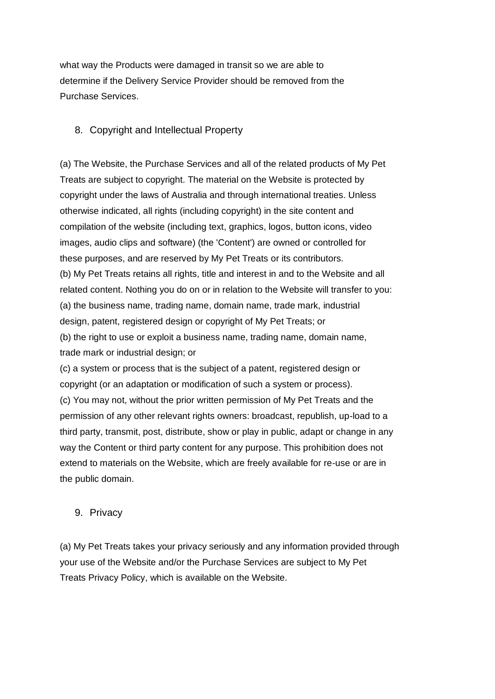what way the Products were damaged in transit so we are able to determine if the Delivery Service Provider should be removed from the Purchase Services.

# 8. Copyright and Intellectual Property

(a) The Website, the Purchase Services and all of the related products of My Pet Treats are subject to copyright. The material on the Website is protected by copyright under the laws of Australia and through international treaties. Unless otherwise indicated, all rights (including copyright) in the site content and compilation of the website (including text, graphics, logos, button icons, video images, audio clips and software) (the 'Content') are owned or controlled for these purposes, and are reserved by My Pet Treats or its contributors. (b) My Pet Treats retains all rights, title and interest in and to the Website and all related content. Nothing you do on or in relation to the Website will transfer to you: (a) the business name, trading name, domain name, trade mark, industrial design, patent, registered design or copyright of My Pet Treats; or (b) the right to use or exploit a business name, trading name, domain name, trade mark or industrial design; or

(c) a system or process that is the subject of a patent, registered design or copyright (or an adaptation or modification of such a system or process). (c) You may not, without the prior written permission of My Pet Treats and the permission of any other relevant rights owners: broadcast, republish, up-load to a third party, transmit, post, distribute, show or play in public, adapt or change in any way the Content or third party content for any purpose. This prohibition does not extend to materials on the Website, which are freely available for re-use or are in the public domain.

### 9. Privacy

(a) My Pet Treats takes your privacy seriously and any information provided through your use of the Website and/or the Purchase Services are subject to My Pet Treats Privacy Policy, which is available on the Website.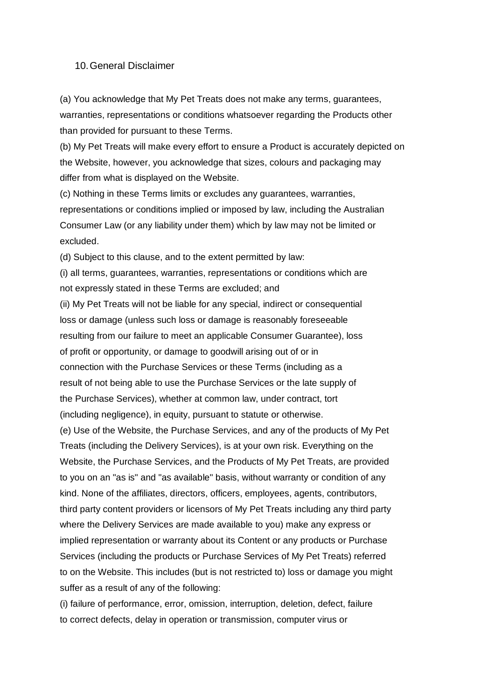#### 10.General Disclaimer

(a) You acknowledge that My Pet Treats does not make any terms, guarantees, warranties, representations or conditions whatsoever regarding the Products other than provided for pursuant to these Terms.

(b) My Pet Treats will make every effort to ensure a Product is accurately depicted on the Website, however, you acknowledge that sizes, colours and packaging may differ from what is displayed on the Website.

(c) Nothing in these Terms limits or excludes any guarantees, warranties, representations or conditions implied or imposed by law, including the Australian Consumer Law (or any liability under them) which by law may not be limited or excluded.

(d) Subject to this clause, and to the extent permitted by law:

(i) all terms, guarantees, warranties, representations or conditions which are not expressly stated in these Terms are excluded; and

(ii) My Pet Treats will not be liable for any special, indirect or consequential loss or damage (unless such loss or damage is reasonably foreseeable resulting from our failure to meet an applicable Consumer Guarantee), loss of profit or opportunity, or damage to goodwill arising out of or in connection with the Purchase Services or these Terms (including as a result of not being able to use the Purchase Services or the late supply of the Purchase Services), whether at common law, under contract, tort (including negligence), in equity, pursuant to statute or otherwise.

(e) Use of the Website, the Purchase Services, and any of the products of My Pet Treats (including the Delivery Services), is at your own risk. Everything on the Website, the Purchase Services, and the Products of My Pet Treats, are provided to you on an "as is" and "as available" basis, without warranty or condition of any kind. None of the affiliates, directors, officers, employees, agents, contributors, third party content providers or licensors of My Pet Treats including any third party where the Delivery Services are made available to you) make any express or implied representation or warranty about its Content or any products or Purchase Services (including the products or Purchase Services of My Pet Treats) referred to on the Website. This includes (but is not restricted to) loss or damage you might suffer as a result of any of the following:

(i) failure of performance, error, omission, interruption, deletion, defect, failure to correct defects, delay in operation or transmission, computer virus or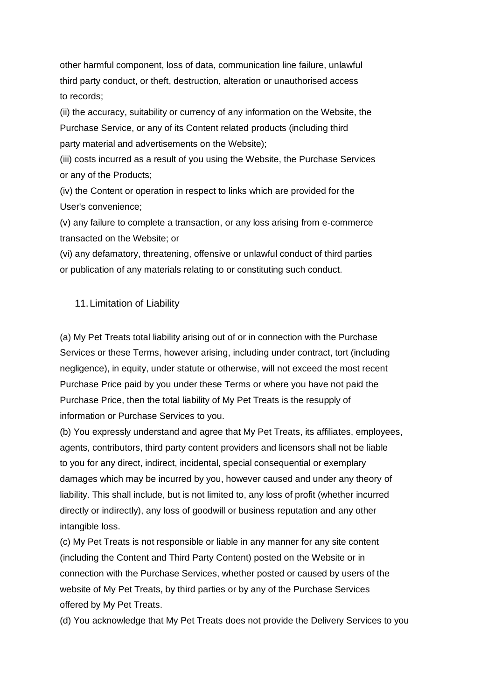other harmful component, loss of data, communication line failure, unlawful third party conduct, or theft, destruction, alteration or unauthorised access to records;

(ii) the accuracy, suitability or currency of any information on the Website, the Purchase Service, or any of its Content related products (including third party material and advertisements on the Website);

(iii) costs incurred as a result of you using the Website, the Purchase Services or any of the Products;

(iv) the Content or operation in respect to links which are provided for the User's convenience;

(v) any failure to complete a transaction, or any loss arising from e-commerce transacted on the Website; or

(vi) any defamatory, threatening, offensive or unlawful conduct of third parties or publication of any materials relating to or constituting such conduct.

### 11.Limitation of Liability

(a) My Pet Treats total liability arising out of or in connection with the Purchase Services or these Terms, however arising, including under contract, tort (including negligence), in equity, under statute or otherwise, will not exceed the most recent Purchase Price paid by you under these Terms or where you have not paid the Purchase Price, then the total liability of My Pet Treats is the resupply of information or Purchase Services to you.

(b) You expressly understand and agree that My Pet Treats, its affiliates, employees, agents, contributors, third party content providers and licensors shall not be liable to you for any direct, indirect, incidental, special consequential or exemplary damages which may be incurred by you, however caused and under any theory of liability. This shall include, but is not limited to, any loss of profit (whether incurred directly or indirectly), any loss of goodwill or business reputation and any other intangible loss.

(c) My Pet Treats is not responsible or liable in any manner for any site content (including the Content and Third Party Content) posted on the Website or in connection with the Purchase Services, whether posted or caused by users of the website of My Pet Treats, by third parties or by any of the Purchase Services offered by My Pet Treats.

(d) You acknowledge that My Pet Treats does not provide the Delivery Services to you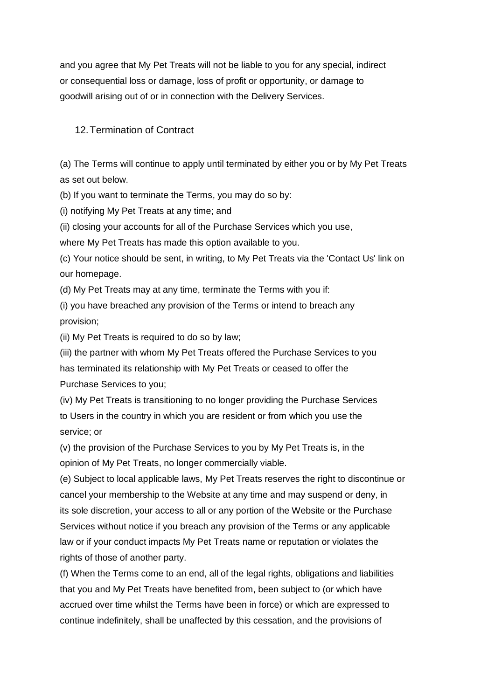and you agree that My Pet Treats will not be liable to you for any special, indirect or consequential loss or damage, loss of profit or opportunity, or damage to goodwill arising out of or in connection with the Delivery Services.

### 12.Termination of Contract

(a) The Terms will continue to apply until terminated by either you or by My Pet Treats as set out below.

(b) If you want to terminate the Terms, you may do so by:

(i) notifying My Pet Treats at any time; and

(ii) closing your accounts for all of the Purchase Services which you use,

where My Pet Treats has made this option available to you.

(c) Your notice should be sent, in writing, to My Pet Treats via the 'Contact Us' link on our homepage.

(d) My Pet Treats may at any time, terminate the Terms with you if:

(i) you have breached any provision of the Terms or intend to breach any provision;

(ii) My Pet Treats is required to do so by law;

(iii) the partner with whom My Pet Treats offered the Purchase Services to you has terminated its relationship with My Pet Treats or ceased to offer the

Purchase Services to you;

(iv) My Pet Treats is transitioning to no longer providing the Purchase Services to Users in the country in which you are resident or from which you use the service; or

(v) the provision of the Purchase Services to you by My Pet Treats is, in the opinion of My Pet Treats, no longer commercially viable.

(e) Subject to local applicable laws, My Pet Treats reserves the right to discontinue or cancel your membership to the Website at any time and may suspend or deny, in its sole discretion, your access to all or any portion of the Website or the Purchase Services without notice if you breach any provision of the Terms or any applicable law or if your conduct impacts My Pet Treats name or reputation or violates the rights of those of another party.

(f) When the Terms come to an end, all of the legal rights, obligations and liabilities that you and My Pet Treats have benefited from, been subject to (or which have accrued over time whilst the Terms have been in force) or which are expressed to continue indefinitely, shall be unaffected by this cessation, and the provisions of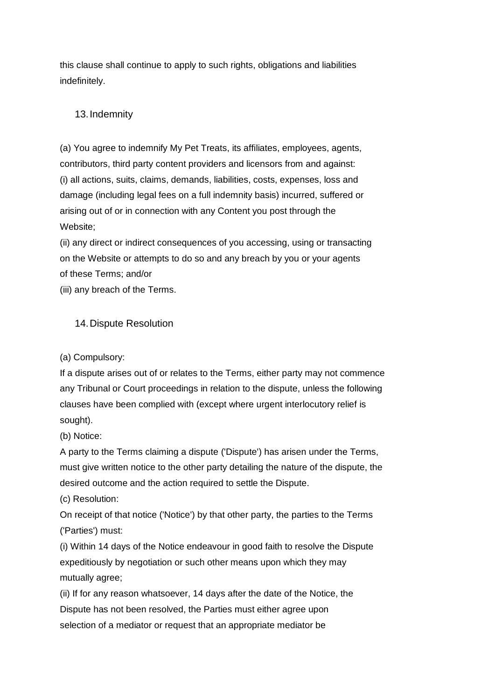this clause shall continue to apply to such rights, obligations and liabilities indefinitely.

# 13.Indemnity

(a) You agree to indemnify My Pet Treats, its affiliates, employees, agents, contributors, third party content providers and licensors from and against: (i) all actions, suits, claims, demands, liabilities, costs, expenses, loss and damage (including legal fees on a full indemnity basis) incurred, suffered or arising out of or in connection with any Content you post through the Website;

(ii) any direct or indirect consequences of you accessing, using or transacting on the Website or attempts to do so and any breach by you or your agents of these Terms; and/or

(iii) any breach of the Terms.

### 14.Dispute Resolution

(a) Compulsory:

If a dispute arises out of or relates to the Terms, either party may not commence any Tribunal or Court proceedings in relation to the dispute, unless the following clauses have been complied with (except where urgent interlocutory relief is sought).

(b) Notice:

A party to the Terms claiming a dispute ('Dispute') has arisen under the Terms, must give written notice to the other party detailing the nature of the dispute, the desired outcome and the action required to settle the Dispute.

(c) Resolution:

On receipt of that notice ('Notice') by that other party, the parties to the Terms ('Parties') must:

(i) Within 14 days of the Notice endeavour in good faith to resolve the Dispute expeditiously by negotiation or such other means upon which they may mutually agree;

(ii) If for any reason whatsoever, 14 days after the date of the Notice, the Dispute has not been resolved, the Parties must either agree upon selection of a mediator or request that an appropriate mediator be